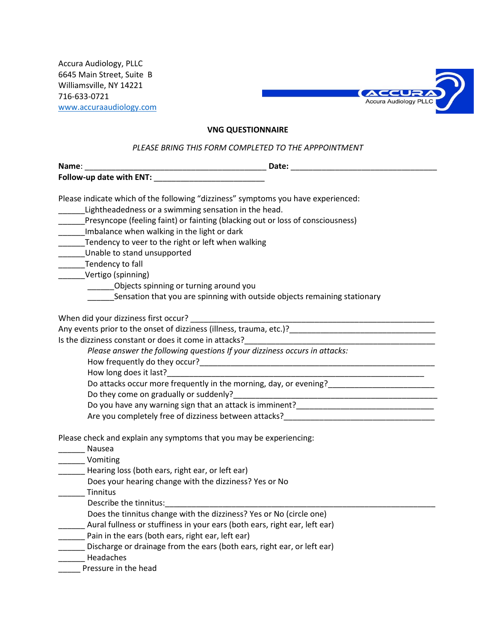Accura Audiology, PLLC 6645 Main Street, Suite B Williamsville, NY 14221 716-633-0721 [www.accuraaudiology.com](http://www.accuraaudiology.com/)



## **VNG QUESTIONNAIRE**

## *PLEASE BRING THIS FORM COMPLETED TO THE APPPOINTMENT*

| Name:                                                                                                                                                                                                                          |                                                                                                                      |
|--------------------------------------------------------------------------------------------------------------------------------------------------------------------------------------------------------------------------------|----------------------------------------------------------------------------------------------------------------------|
| Follow-up date with ENT: Network and the set of the set of the set of the set of the set of the set of the set of the set of the set of the set of the set of the set of the set of the set of the set of the set of the set o |                                                                                                                      |
| Please indicate which of the following "dizziness" symptoms you have experienced:                                                                                                                                              |                                                                                                                      |
| Lightheadedness or a swimming sensation in the head.                                                                                                                                                                           |                                                                                                                      |
| Presyncope (feeling faint) or fainting (blacking out or loss of consciousness)                                                                                                                                                 |                                                                                                                      |
| Imbalance when walking in the light or dark                                                                                                                                                                                    |                                                                                                                      |
| Tendency to veer to the right or left when walking                                                                                                                                                                             |                                                                                                                      |
| Unable to stand unsupported                                                                                                                                                                                                    |                                                                                                                      |
| Tendency to fall                                                                                                                                                                                                               |                                                                                                                      |
| Vertigo (spinning)                                                                                                                                                                                                             |                                                                                                                      |
| ________Objects spinning or turning around you                                                                                                                                                                                 |                                                                                                                      |
| ______Sensation that you are spinning with outside objects remaining stationary                                                                                                                                                |                                                                                                                      |
|                                                                                                                                                                                                                                |                                                                                                                      |
|                                                                                                                                                                                                                                |                                                                                                                      |
|                                                                                                                                                                                                                                |                                                                                                                      |
| Please answer the following questions If your dizziness occurs in attacks:                                                                                                                                                     |                                                                                                                      |
|                                                                                                                                                                                                                                |                                                                                                                      |
|                                                                                                                                                                                                                                |                                                                                                                      |
|                                                                                                                                                                                                                                | Do attacks occur more frequently in the morning, day, or evening?                                                    |
| Do they come on gradually or suddenly?                                                                                                                                                                                         | <u> 2008 - Jan Berlin, Amerikaansk politiker (d. 1888)</u>                                                           |
|                                                                                                                                                                                                                                | Do you have any warning sign that an attack is imminent?<br>No you have any warning sign that an attack is imminent? |
|                                                                                                                                                                                                                                | Are you completely free of dizziness between attacks?                                                                |
| Please check and explain any symptoms that you may be experiencing:                                                                                                                                                            |                                                                                                                      |
| <b>Nausea</b>                                                                                                                                                                                                                  |                                                                                                                      |
| Vomiting                                                                                                                                                                                                                       |                                                                                                                      |
| Hearing loss (both ears, right ear, or left ear)                                                                                                                                                                               |                                                                                                                      |
| Does your hearing change with the dizziness? Yes or No                                                                                                                                                                         |                                                                                                                      |
| Tinnitus                                                                                                                                                                                                                       |                                                                                                                      |
| Describe the tinnitus:                                                                                                                                                                                                         |                                                                                                                      |
| Does the tinnitus change with the dizziness? Yes or No (circle one)                                                                                                                                                            |                                                                                                                      |
| Aural fullness or stuffiness in your ears (both ears, right ear, left ear)                                                                                                                                                     |                                                                                                                      |
| Pain in the ears (both ears, right ear, left ear)                                                                                                                                                                              |                                                                                                                      |
| Discharge or drainage from the ears (both ears right ear, or left ear)                                                                                                                                                         |                                                                                                                      |

- \_\_\_\_\_\_ Discharge or drainage from the ears (both ears, right ear, or left ear)
- \_\_\_\_\_\_ Headaches
- \_\_\_\_\_ Pressure in the head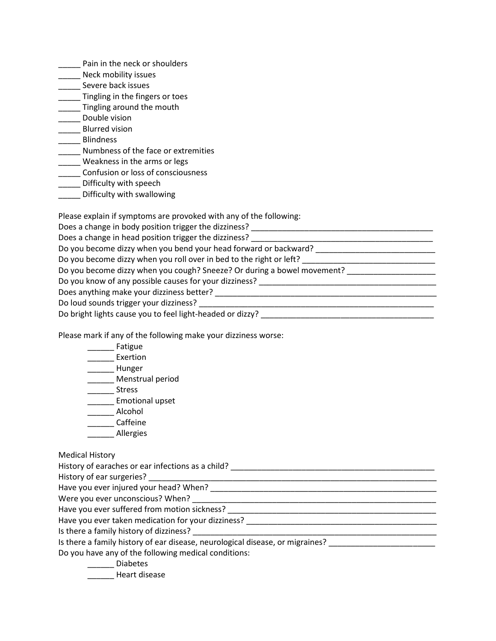- **\_\_\_\_\_** Pain in the neck or shoulders
- \_\_\_\_\_\_ Neck mobility issues
- \_\_\_\_\_ Severe back issues
- \_\_\_\_\_ Tingling in the fingers or toes
- **\_\_\_\_\_\_** Tingling around the mouth
- \_\_\_\_\_ Double vision
- \_\_\_\_\_ Blurred vision
- \_\_\_\_\_ Blindness
- \_\_\_\_\_ Numbness of the face or extremities
- \_\_\_\_\_ Weakness in the arms or legs
- \_\_\_\_\_ Confusion or loss of consciousness
- \_\_\_\_\_ Difficulty with speech
- \_\_\_\_\_ Difficulty with swallowing

Please explain if symptoms are provoked with any of the following:

| Does a change in body position trigger the dizziness?                   |  |  |
|-------------------------------------------------------------------------|--|--|
| Does a change in head position trigger the dizziness?                   |  |  |
| Do you become dizzy when you bend your head forward or backward?        |  |  |
| Do you become dizzy when you roll over in bed to the right or left?     |  |  |
| Do you become dizzy when you cough? Sneeze? Or during a bowel movement? |  |  |
| Do you know of any possible causes for your dizziness?                  |  |  |
| Does anything make your dizziness better?                               |  |  |
| Do loud sounds trigger your dizziness?                                  |  |  |
| Do bright lights cause you to feel light-headed or dizzy?               |  |  |

Please mark if any of the following make your dizziness worse:

| Fatigue                                                                                                        |  |
|----------------------------------------------------------------------------------------------------------------|--|
| Exertion                                                                                                       |  |
| Hunger                                                                                                         |  |
| Menstrual period                                                                                               |  |
| <b>Stress</b>                                                                                                  |  |
| <b>Emotional upset</b>                                                                                         |  |
| Alcohol                                                                                                        |  |
| Caffeine                                                                                                       |  |
| Allergies                                                                                                      |  |
|                                                                                                                |  |
| <b>Medical History</b>                                                                                         |  |
|                                                                                                                |  |
|                                                                                                                |  |
|                                                                                                                |  |
|                                                                                                                |  |
|                                                                                                                |  |
| Have you ever taken medication for your dizziness? [198] [198] [198] [198] [198] [198] [198] [198] [198] [198] |  |
|                                                                                                                |  |
| Is there a family history of ear disease, neurological disease, or migraines? ______________________           |  |
| Do you have any of the following medical conditions:                                                           |  |
| <b>Diabetes</b>                                                                                                |  |

\_\_\_\_\_\_ Heart disease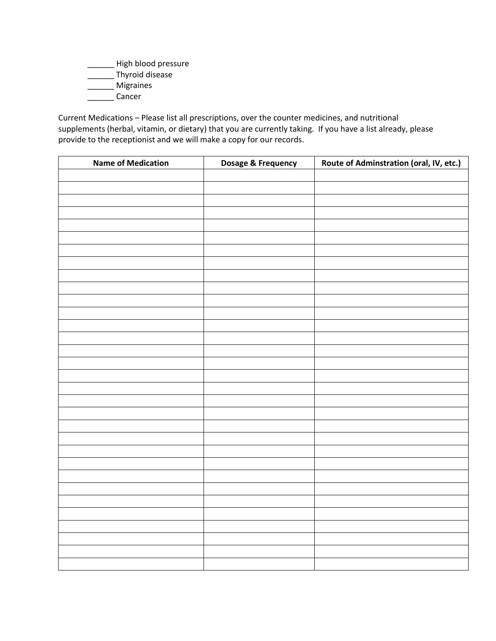- \_\_\_\_\_\_ High blood pressure
- \_\_\_\_\_\_ Thyroid disease
- \_\_\_\_\_\_ Migraines
- \_\_\_\_\_\_ Cancer

Current Medications – Please list all prescriptions, over the counter medicines, and nutritional supplements (herbal, vitamin, or dietary) that you are currently taking. If you have a list already, please provide to the receptionist and we will make a copy for our records.

| <b>Name of Medication</b> | Dosage & Frequency | Route of Adminstration (oral, IV, etc.) |
|---------------------------|--------------------|-----------------------------------------|
|                           |                    |                                         |
|                           |                    |                                         |
|                           |                    |                                         |
|                           |                    |                                         |
|                           |                    |                                         |
|                           |                    |                                         |
|                           |                    |                                         |
|                           |                    |                                         |
|                           |                    |                                         |
|                           |                    |                                         |
|                           |                    |                                         |
|                           |                    |                                         |
|                           |                    |                                         |
|                           |                    |                                         |
|                           |                    |                                         |
|                           |                    |                                         |
|                           |                    |                                         |
|                           |                    |                                         |
|                           |                    |                                         |
|                           |                    |                                         |
|                           |                    |                                         |
|                           |                    |                                         |
|                           |                    |                                         |
|                           |                    |                                         |
|                           |                    |                                         |
|                           |                    |                                         |
|                           |                    |                                         |
|                           |                    |                                         |
|                           |                    |                                         |
|                           |                    |                                         |
|                           |                    |                                         |
|                           |                    |                                         |